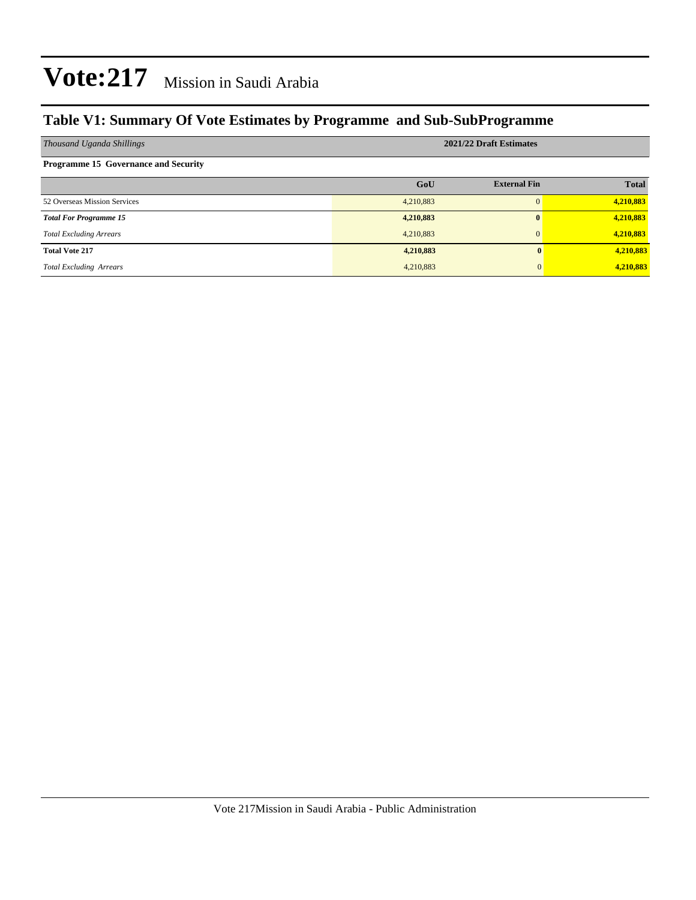### **Table V1: Summary Of Vote Estimates by Programme and Sub-SubProgramme**

| Thousand Uganda Shillings                   | 2021/22 Draft Estimates |                     |              |  |  |  |  |
|---------------------------------------------|-------------------------|---------------------|--------------|--|--|--|--|
| <b>Programme 15 Governance and Security</b> |                         |                     |              |  |  |  |  |
|                                             | GoU                     | <b>External Fin</b> | <b>Total</b> |  |  |  |  |
| 52 Overseas Mission Services                | 4,210,883               | $\Omega$            | 4,210,883    |  |  |  |  |
| <b>Total For Programme 15</b>               | 4,210,883               | $\mathbf{0}$        | 4,210,883    |  |  |  |  |
| <b>Total Excluding Arrears</b>              | 4,210,883               | $\Omega$            | 4,210,883    |  |  |  |  |
| <b>Total Vote 217</b>                       | 4,210,883               |                     | 4,210,883    |  |  |  |  |
| <b>Total Excluding Arrears</b>              | 4,210,883               |                     | 4,210,883    |  |  |  |  |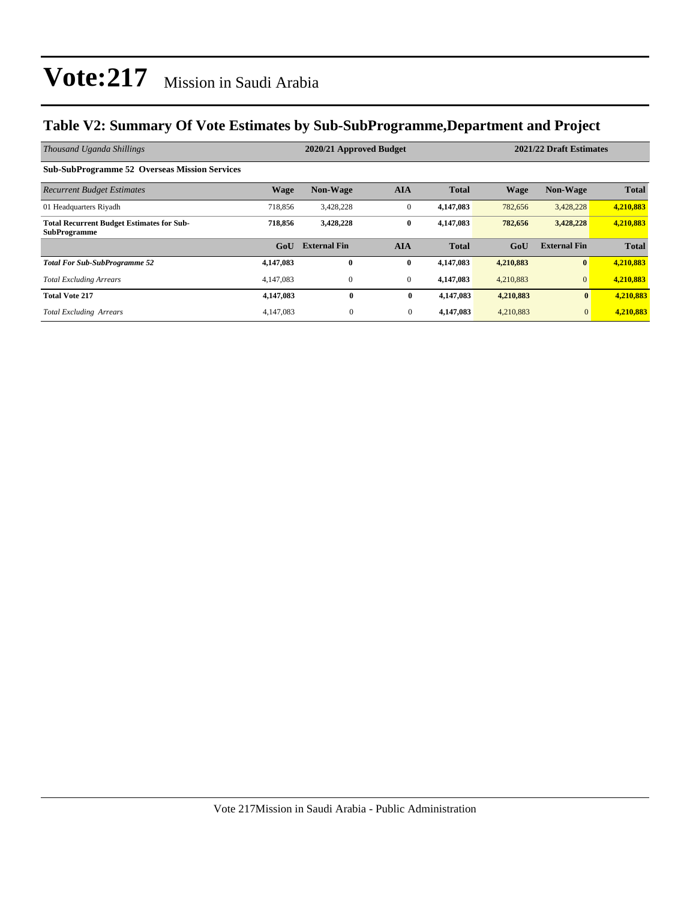### **Table V2: Summary Of Vote Estimates by Sub-SubProgramme,Department and Project**

| Thousand Uganda Shillings                                               |             | 2020/21 Approved Budget |                |              | 2021/22 Draft Estimates |                     |              |
|-------------------------------------------------------------------------|-------------|-------------------------|----------------|--------------|-------------------------|---------------------|--------------|
| <b>Sub-SubProgramme 52 Overseas Mission Services</b>                    |             |                         |                |              |                         |                     |              |
| <b>Recurrent Budget Estimates</b>                                       | <b>Wage</b> | <b>Non-Wage</b>         | <b>AIA</b>     | <b>Total</b> | <b>Wage</b>             | <b>Non-Wage</b>     | <b>Total</b> |
| 01 Headquarters Rivadh                                                  | 718,856     | 3,428,228               | $\mathbf{0}$   | 4,147,083    | 782,656                 | 3,428,228           | 4,210,883    |
| <b>Total Recurrent Budget Estimates for Sub-</b><br><b>SubProgramme</b> | 718,856     | 3,428,228               | $\bf{0}$       | 4,147,083    | 782,656                 | 3,428,228           | 4,210,883    |
|                                                                         | GoU         | <b>External Fin</b>     | <b>AIA</b>     | <b>Total</b> | GoU                     | <b>External Fin</b> | <b>Total</b> |
| <b>Total For Sub-SubProgramme 52</b>                                    | 4,147,083   | 0                       | $\bf{0}$       | 4,147,083    | 4,210,883               | $\mathbf{0}$        | 4,210,883    |
| <b>Total Excluding Arrears</b>                                          | 4,147,083   | $\mathbf{0}$            | $\mathbf{0}$   | 4,147,083    | 4,210,883               | $\overline{0}$      | 4,210,883    |
| <b>Total Vote 217</b>                                                   | 4,147,083   | $\bf{0}$                | $\bf{0}$       | 4,147,083    | 4,210,883               | $\bf{0}$            | 4,210,883    |
| <b>Total Excluding Arrears</b>                                          | 4,147,083   | $\overline{0}$          | $\overline{0}$ | 4,147,083    | 4,210,883               | $\mathbf{0}$        | 4,210,883    |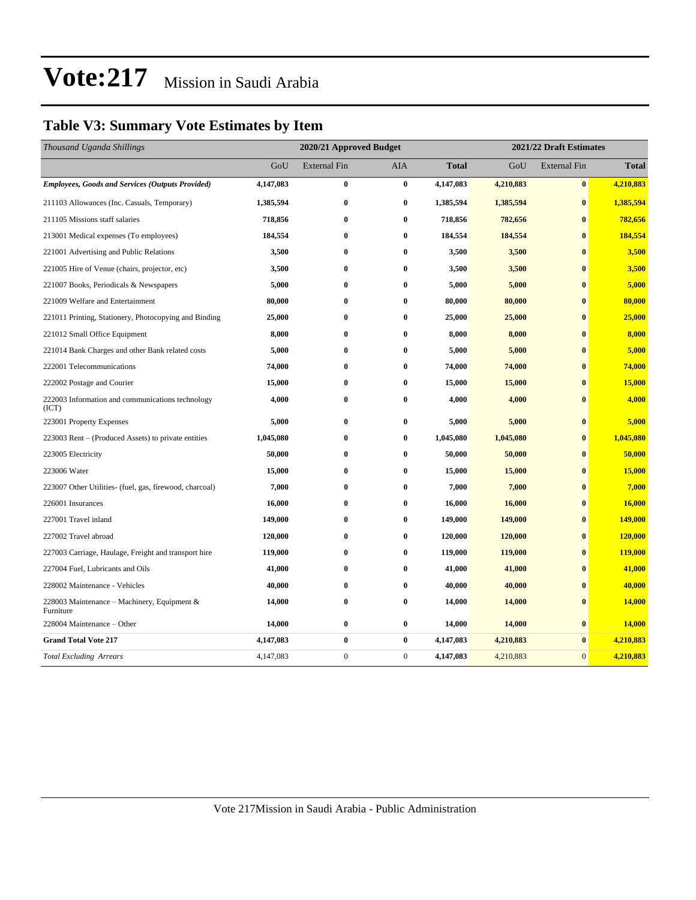### **Table V3: Summary Vote Estimates by Item**

| Thousand Uganda Shillings                                   |           | 2020/21 Approved Budget |              |              | 2021/22 Draft Estimates |                     |               |  |
|-------------------------------------------------------------|-----------|-------------------------|--------------|--------------|-------------------------|---------------------|---------------|--|
|                                                             | GoU       | <b>External Fin</b>     | <b>AIA</b>   | <b>Total</b> | GoU                     | <b>External Fin</b> | <b>Total</b>  |  |
| <b>Employees, Goods and Services (Outputs Provided)</b>     | 4,147,083 | $\bf{0}$                | $\bf{0}$     | 4,147,083    | 4,210,883               | $\bf{0}$            | 4,210,883     |  |
| 211103 Allowances (Inc. Casuals, Temporary)                 | 1,385,594 | $\bf{0}$                | 0            | 1,385,594    | 1,385,594               | $\bf{0}$            | 1,385,594     |  |
| 211105 Missions staff salaries                              | 718,856   | $\bf{0}$                | $\bf{0}$     | 718,856      | 782,656                 | $\bf{0}$            | 782,656       |  |
| 213001 Medical expenses (To employees)                      | 184,554   | $\bf{0}$                | $\bf{0}$     | 184,554      | 184,554                 | $\bf{0}$            | 184,554       |  |
| 221001 Advertising and Public Relations                     | 3,500     | $\bf{0}$                | $\bf{0}$     | 3,500        | 3,500                   | $\bf{0}$            | 3,500         |  |
| 221005 Hire of Venue (chairs, projector, etc)               | 3,500     | $\bf{0}$                | 0            | 3,500        | 3,500                   | $\bf{0}$            | 3,500         |  |
| 221007 Books, Periodicals & Newspapers                      | 5,000     | $\bf{0}$                | 0            | 5,000        | 5,000                   | $\bf{0}$            | 5,000         |  |
| 221009 Welfare and Entertainment                            | 80,000    | $\bf{0}$                | $\bf{0}$     | 80,000       | 80,000                  | $\mathbf{0}$        | 80,000        |  |
| 221011 Printing, Stationery, Photocopying and Binding       | 25,000    | $\bf{0}$                | 0            | 25,000       | 25,000                  | $\mathbf{0}$        | 25,000        |  |
| 221012 Small Office Equipment                               | 8,000     | $\bf{0}$                | 0            | 8,000        | 8,000                   | $\bf{0}$            | 8,000         |  |
| 221014 Bank Charges and other Bank related costs            | 5,000     | $\bf{0}$                | $\bf{0}$     | 5,000        | 5,000                   | $\bf{0}$            | 5,000         |  |
| 222001 Telecommunications                                   | 74,000    | $\bf{0}$                | 0            | 74,000       | 74,000                  | $\bf{0}$            | 74,000        |  |
| 222002 Postage and Courier                                  | 15,000    | $\bf{0}$                | 0            | 15,000       | 15,000                  | $\bf{0}$            | 15,000        |  |
| 222003 Information and communications technology<br>(ICT)   | 4,000     | $\bf{0}$                | $\bf{0}$     | 4,000        | 4,000                   | $\bf{0}$            | 4,000         |  |
| 223001 Property Expenses                                    | 5,000     | $\bf{0}$                | 0            | 5,000        | 5,000                   | $\bf{0}$            | 5,000         |  |
| 223003 Rent - (Produced Assets) to private entities         | 1,045,080 | $\bf{0}$                | 0            | 1,045,080    | 1,045,080               | $\bf{0}$            | 1,045,080     |  |
| 223005 Electricity                                          | 50,000    | $\bf{0}$                | $\bf{0}$     | 50,000       | 50,000                  | $\bf{0}$            | 50,000        |  |
| 223006 Water                                                | 15,000    | $\bf{0}$                | 0            | 15,000       | 15,000                  | $\mathbf{0}$        | 15,000        |  |
| 223007 Other Utilities- (fuel, gas, firewood, charcoal)     | 7,000     | $\bf{0}$                | 0            | 7,000        | 7,000                   | $\bf{0}$            | 7,000         |  |
| 226001 Insurances                                           | 16,000    | $\bf{0}$                | $\bf{0}$     | 16,000       | 16,000                  | $\bf{0}$            | 16,000        |  |
| 227001 Travel inland                                        | 149,000   | $\bf{0}$                | $\bf{0}$     | 149,000      | 149,000                 | $\bf{0}$            | 149,000       |  |
| 227002 Travel abroad                                        | 120,000   | $\bf{0}$                | 0            | 120,000      | 120,000                 | $\bf{0}$            | 120,000       |  |
| 227003 Carriage, Haulage, Freight and transport hire        | 119,000   | $\bf{0}$                | $\bf{0}$     | 119,000      | 119,000                 | $\bf{0}$            | 119,000       |  |
| 227004 Fuel, Lubricants and Oils                            | 41,000    | $\bf{0}$                | $\bf{0}$     | 41,000       | 41,000                  | $\bf{0}$            | 41,000        |  |
| 228002 Maintenance - Vehicles                               | 40,000    | $\bf{0}$                | 0            | 40,000       | 40,000                  | $\bf{0}$            | 40,000        |  |
| 228003 Maintenance – Machinery, Equipment $\&$<br>Furniture | 14,000    | $\bf{0}$                | 0            | 14,000       | 14,000                  | $\bf{0}$            | <b>14,000</b> |  |
| 228004 Maintenance - Other                                  | 14,000    | $\bf{0}$                | $\bf{0}$     | 14,000       | 14,000                  | $\bf{0}$            | 14,000        |  |
| <b>Grand Total Vote 217</b>                                 | 4,147,083 | $\bf{0}$                | $\bf{0}$     | 4,147,083    | 4,210,883               | $\bf{0}$            | 4,210,883     |  |
| <b>Total Excluding Arrears</b>                              | 4,147,083 | $\mathbf{0}$            | $\mathbf{0}$ | 4,147,083    | 4,210,883               | $\overline{0}$      | 4,210,883     |  |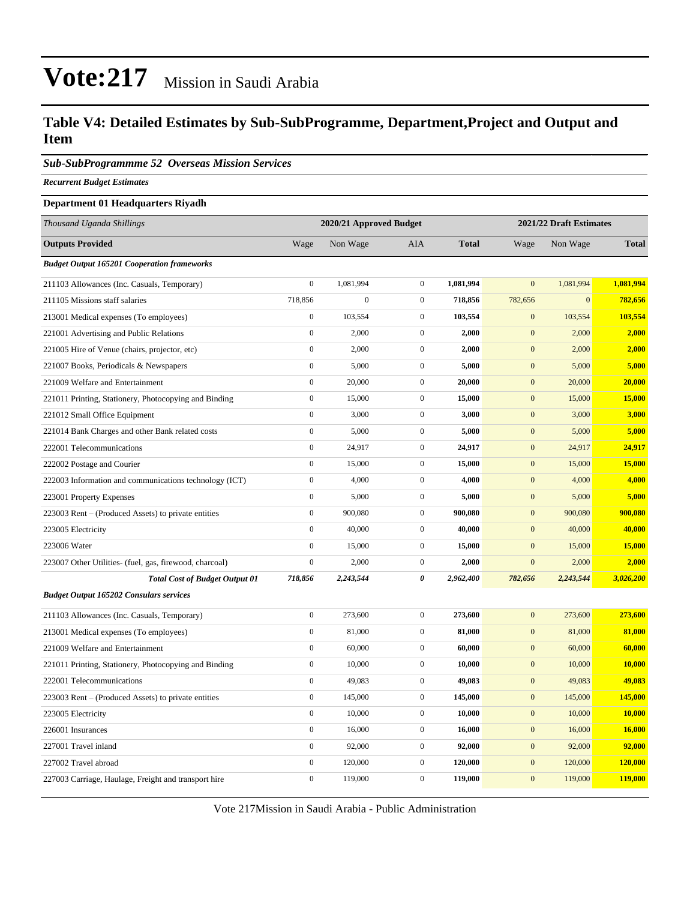#### **Table V4: Detailed Estimates by Sub-SubProgramme, Department,Project and Output and Item**

*Sub-SubProgrammme 52 Overseas Mission Services*

*Recurrent Budget Estimates*

#### **Department 01 Headquarters Riyadh**

| Thousand Uganda Shillings                               |                  | 2020/21 Approved Budget |                  | 2021/22 Draft Estimates |                  |              |              |
|---------------------------------------------------------|------------------|-------------------------|------------------|-------------------------|------------------|--------------|--------------|
| <b>Outputs Provided</b>                                 | Wage             | Non Wage                | <b>AIA</b>       | <b>Total</b>            | Wage             | Non Wage     | <b>Total</b> |
| <b>Budget Output 165201 Cooperation frameworks</b>      |                  |                         |                  |                         |                  |              |              |
| 211103 Allowances (Inc. Casuals, Temporary)             | $\boldsymbol{0}$ | 1,081,994               | $\boldsymbol{0}$ | 1,081,994               | $\mathbf{0}$     | 1,081,994    | 1,081,994    |
| 211105 Missions staff salaries                          | 718,856          | $\boldsymbol{0}$        | $\boldsymbol{0}$ | 718,856                 | 782,656          | $\mathbf{0}$ | 782,656      |
| 213001 Medical expenses (To employees)                  | $\boldsymbol{0}$ | 103,554                 | $\mathbf{0}$     | 103,554                 | $\mathbf{0}$     | 103,554      | 103,554      |
| 221001 Advertising and Public Relations                 | $\boldsymbol{0}$ | 2,000                   | $\boldsymbol{0}$ | 2,000                   | $\mathbf{0}$     | 2,000        | 2,000        |
| 221005 Hire of Venue (chairs, projector, etc)           | $\boldsymbol{0}$ | 2,000                   | $\boldsymbol{0}$ | 2,000                   | $\boldsymbol{0}$ | 2,000        | 2,000        |
| 221007 Books, Periodicals & Newspapers                  | $\boldsymbol{0}$ | 5,000                   | $\boldsymbol{0}$ | 5,000                   | $\mathbf{0}$     | 5,000        | 5,000        |
| 221009 Welfare and Entertainment                        | $\boldsymbol{0}$ | 20,000                  | $\boldsymbol{0}$ | 20,000                  | $\mathbf{0}$     | 20,000       | 20,000       |
| 221011 Printing, Stationery, Photocopying and Binding   | $\boldsymbol{0}$ | 15,000                  | $\boldsymbol{0}$ | 15,000                  | $\boldsymbol{0}$ | 15,000       | 15,000       |
| 221012 Small Office Equipment                           | $\boldsymbol{0}$ | 3,000                   | $\boldsymbol{0}$ | 3,000                   | $\mathbf{0}$     | 3,000        | 3,000        |
| 221014 Bank Charges and other Bank related costs        | $\boldsymbol{0}$ | 5,000                   | $\boldsymbol{0}$ | 5,000                   | $\boldsymbol{0}$ | 5,000        | 5,000        |
| 222001 Telecommunications                               | $\boldsymbol{0}$ | 24,917                  | $\boldsymbol{0}$ | 24,917                  | $\mathbf{0}$     | 24,917       | 24,917       |
| 222002 Postage and Courier                              | $\boldsymbol{0}$ | 15,000                  | $\boldsymbol{0}$ | 15,000                  | $\boldsymbol{0}$ | 15,000       | 15,000       |
| 222003 Information and communications technology (ICT)  | $\boldsymbol{0}$ | 4,000                   | $\boldsymbol{0}$ | 4,000                   | $\mathbf{0}$     | 4,000        | 4,000        |
| 223001 Property Expenses                                | $\mathbf{0}$     | 5,000                   | $\boldsymbol{0}$ | 5,000                   | $\boldsymbol{0}$ | 5,000        | 5,000        |
| 223003 Rent – (Produced Assets) to private entities     | $\boldsymbol{0}$ | 900,080                 | $\boldsymbol{0}$ | 900,080                 | $\mathbf{0}$     | 900,080      | 900,080      |
| 223005 Electricity                                      | $\mathbf{0}$     | 40,000                  | $\boldsymbol{0}$ | 40,000                  | $\boldsymbol{0}$ | 40,000       | 40,000       |
| 223006 Water                                            | $\boldsymbol{0}$ | 15,000                  | $\boldsymbol{0}$ | 15,000                  | $\mathbf{0}$     | 15,000       | 15,000       |
| 223007 Other Utilities- (fuel, gas, firewood, charcoal) | $\boldsymbol{0}$ | 2,000                   | $\boldsymbol{0}$ | 2,000                   | $\mathbf{0}$     | 2,000        | 2,000        |
| <b>Total Cost of Budget Output 01</b>                   | 718,856          | 2,243,544               | 0                | 2,962,400               | 782,656          | 2,243,544    | 3,026,200    |
| <b>Budget Output 165202 Consulars services</b>          |                  |                         |                  |                         |                  |              |              |
| 211103 Allowances (Inc. Casuals, Temporary)             | $\boldsymbol{0}$ | 273,600                 | $\boldsymbol{0}$ | 273,600                 | $\boldsymbol{0}$ | 273,600      | 273,600      |
| 213001 Medical expenses (To employees)                  | $\boldsymbol{0}$ | 81,000                  | $\boldsymbol{0}$ | 81,000                  | $\mathbf{0}$     | 81,000       | 81,000       |
| 221009 Welfare and Entertainment                        | $\boldsymbol{0}$ | 60,000                  | $\boldsymbol{0}$ | 60,000                  | $\boldsymbol{0}$ | 60,000       | 60,000       |
| 221011 Printing, Stationery, Photocopying and Binding   | $\boldsymbol{0}$ | 10,000                  | $\boldsymbol{0}$ | 10,000                  | $\boldsymbol{0}$ | 10,000       | 10,000       |
| 222001 Telecommunications                               | $\mathbf{0}$     | 49,083                  | $\boldsymbol{0}$ | 49,083                  | $\boldsymbol{0}$ | 49,083       | 49,083       |
| 223003 Rent – (Produced Assets) to private entities     | $\boldsymbol{0}$ | 145,000                 | $\boldsymbol{0}$ | 145,000                 | $\boldsymbol{0}$ | 145,000      | 145,000      |
| 223005 Electricity                                      | $\boldsymbol{0}$ | 10,000                  | $\boldsymbol{0}$ | 10,000                  | $\mathbf{0}$     | 10,000       | 10,000       |
| 226001 Insurances                                       | $\boldsymbol{0}$ | 16,000                  | $\boldsymbol{0}$ | 16,000                  | $\boldsymbol{0}$ | 16,000       | 16,000       |
| 227001 Travel inland                                    | $\boldsymbol{0}$ | 92,000                  | $\boldsymbol{0}$ | 92,000                  | $\mathbf{0}$     | 92,000       | 92,000       |
| 227002 Travel abroad                                    | $\boldsymbol{0}$ | 120,000                 | $\boldsymbol{0}$ | 120,000                 | $\boldsymbol{0}$ | 120,000      | 120,000      |
| 227003 Carriage, Haulage, Freight and transport hire    | $\mathbf{0}$     | 119,000                 | $\mathbf{0}$     | 119,000                 | $\mathbf{0}$     | 119,000      | 119,000      |

Vote 217Mission in Saudi Arabia - Public Administration